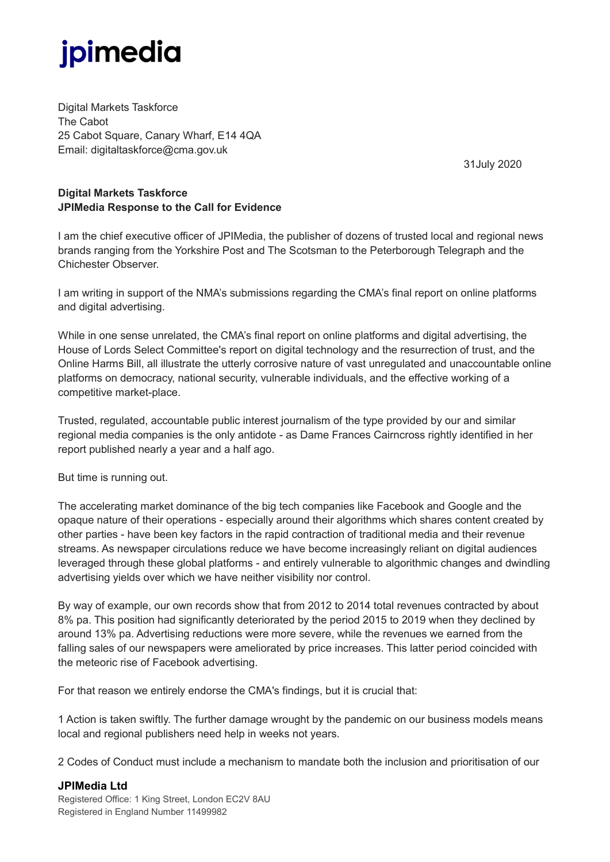## jpimedia

Digital Markets Taskforce The Cabot 25 Cabot Square, Canary Wharf, E14 4QA Email: digitaltaskforce@cma.gov.uk

31July 2020

## **Digital Markets Taskforce JPIMedia Response to the Call for Evidence**

I am the chief executive officer of JPIMedia, the publisher of dozens of trusted local and regional news brands ranging from the Yorkshire Post and The Scotsman to the Peterborough Telegraph and the Chichester Observer.

I am writing in support of the NMA's submissions regarding the CMA's final report on online platforms and digital advertising.

While in one sense unrelated, the CMA's final report on online platforms and digital advertising, the House of Lords Select Committee's report on digital technology and the resurrection of trust, and the Online Harms Bill, all illustrate the utterly corrosive nature of vast unregulated and unaccountable online platforms on democracy, national security, vulnerable individuals, and the effective working of a competitive market-place.

Trusted, regulated, accountable public interest journalism of the type provided by our and similar regional media companies is the only antidote - as Dame Frances Cairncross rightly identified in her report published nearly a year and a half ago.

But time is running out.

The accelerating market dominance of the big tech companies like Facebook and Google and the opaque nature of their operations - especially around their algorithms which shares content created by other parties - have been key factors in the rapid contraction of traditional media and their revenue streams. As newspaper circulations reduce we have become increasingly reliant on digital audiences leveraged through these global platforms - and entirely vulnerable to algorithmic changes and dwindling advertising yields over which we have neither visibility nor control.

By way of example, our own records show that from 2012 to 2014 total revenues contracted by about 8% pa. This position had significantly deteriorated by the period 2015 to 2019 when they declined by around 13% pa. Advertising reductions were more severe, while the revenues we earned from the falling sales of our newspapers were ameliorated by price increases. This latter period coincided with the meteoric rise of Facebook advertising.

For that reason we entirely endorse the CMA's findings, but it is crucial that:

1 Action is taken swiftly. The further damage wrought by the pandemic on our business models means local and regional publishers need help in weeks not years.

2 Codes of Conduct must include a mechanism to mandate both the inclusion and prioritisation of our

## **JPIMedia Ltd**

Registered Office: 1 King Street, London EC2V 8AU Registered in England Number 11499982